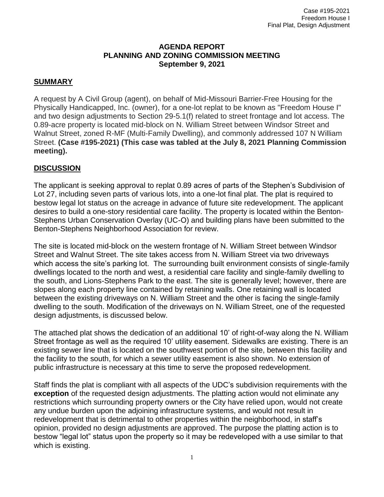#### **AGENDA REPORT PLANNING AND ZONING COMMISSION MEETING September 9, 2021**

# **SUMMARY**

A request by A Civil Group (agent), on behalf of Mid-Missouri Barrier-Free Housing for the Physically Handicapped, Inc. (owner), for a one-lot replat to be known as "Freedom House I" and two design adjustments to Section 29-5.1(f) related to street frontage and lot access. The 0.89-acre property is located mid-block on N. William Street between Windsor Street and Walnut Street, zoned R-MF (Multi-Family Dwelling), and commonly addressed 107 N William Street. **(Case #195-2021) (This case was tabled at the July 8, 2021 Planning Commission meeting).**

### **DISCUSSION**

The applicant is seeking approval to replat 0.89 acres of parts of the Stephen's Subdivision of Lot 27, including seven parts of various lots, into a one-lot final plat. The plat is required to bestow legal lot status on the acreage in advance of future site redevelopment. The applicant desires to build a one-story residential care facility. The property is located within the Benton-Stephens Urban Conservation Overlay (UC-O) and building plans have been submitted to the Benton-Stephens Neighborhood Association for review.

The site is located mid-block on the western frontage of N. William Street between Windsor Street and Walnut Street. The site takes access from N. William Street via two driveways which access the site's parking lot. The surrounding built environment consists of single-family dwellings located to the north and west, a residential care facility and single-family dwelling to the south, and Lions-Stephens Park to the east. The site is generally level; however, there are slopes along each property line contained by retaining walls. One retaining wall is located between the existing driveways on N. William Street and the other is facing the single-family dwelling to the south. Modification of the driveways on N. William Street, one of the requested design adjustments, is discussed below.

The attached plat shows the dedication of an additional 10' of right-of-way along the N. William Street frontage as well as the required 10' utility easement. Sidewalks are existing. There is an existing sewer line that is located on the southwest portion of the site, between this facility and the facility to the south, for which a sewer utility easement is also shown. No extension of public infrastructure is necessary at this time to serve the proposed redevelopment.

Staff finds the plat is compliant with all aspects of the UDC's subdivision requirements with the **exception** of the requested design adjustments. The platting action would not eliminate any restrictions which surrounding property owners or the City have relied upon, would not create any undue burden upon the adjoining infrastructure systems, and would not result in redevelopment that is detrimental to other properties within the neighborhood, in staff's opinion, provided no design adjustments are approved. The purpose the platting action is to bestow "legal lot" status upon the property so it may be redeveloped with a use similar to that which is existing.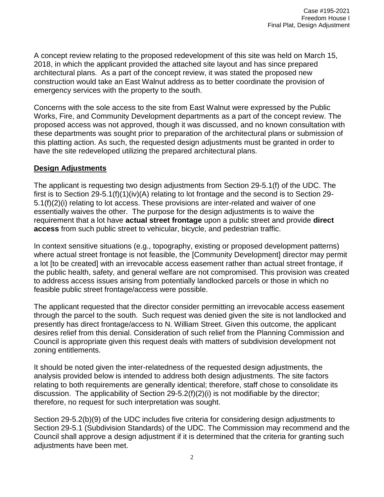A concept review relating to the proposed redevelopment of this site was held on March 15, 2018, in which the applicant provided the attached site layout and has since prepared architectural plans. As a part of the concept review, it was stated the proposed new construction would take an East Walnut address as to better coordinate the provision of emergency services with the property to the south.

Concerns with the sole access to the site from East Walnut were expressed by the Public Works, Fire, and Community Development departments as a part of the concept review. The proposed access was not approved, though it was discussed, and no known consultation with these departments was sought prior to preparation of the architectural plans or submission of this platting action. As such, the requested design adjustments must be granted in order to have the site redeveloped utilizing the prepared architectural plans.

### **Design Adjustments**

The applicant is requesting two design adjustments from Section 29-5.1(f) of the UDC. The first is to Section 29-5.1(f)(1)(iv)(A) relating to lot frontage and the second is to Section 29-5.1(f)(2)(i) relating to lot access. These provisions are inter-related and waiver of one essentially waives the other. The purpose for the design adjustments is to waive the requirement that a lot have **actual street frontage** upon a public street and provide **direct access** from such public street to vehicular, bicycle, and pedestrian traffic.

In context sensitive situations (e.g., topography, existing or proposed development patterns) where actual street frontage is not feasible, the [Community Development] director may permit a lot [to be created] with an irrevocable access easement rather than actual street frontage, if the public health, safety, and general welfare are not compromised. This provision was created to address access issues arising from potentially landlocked parcels or those in which no feasible public street frontage/access were possible.

The applicant requested that the director consider permitting an irrevocable access easement through the parcel to the south. Such request was denied given the site is not landlocked and presently has direct frontage/access to N. William Street. Given this outcome, the applicant desires relief from this denial. Consideration of such relief from the Planning Commission and Council is appropriate given this request deals with matters of subdivision development not zoning entitlements.

It should be noted given the inter-relatedness of the requested design adjustments, the analysis provided below is intended to address both design adjustments. The site factors relating to both requirements are generally identical; therefore, staff chose to consolidate its discussion. The applicability of Section 29-5.2(f)(2)(i) is not modifiable by the director; therefore, no request for such interpretation was sought.

Section 29-5.2(b)(9) of the UDC includes five criteria for considering design adjustments to Section 29-5.1 (Subdivision Standards) of the UDC. The Commission may recommend and the Council shall approve a design adjustment if it is determined that the criteria for granting such adjustments have been met.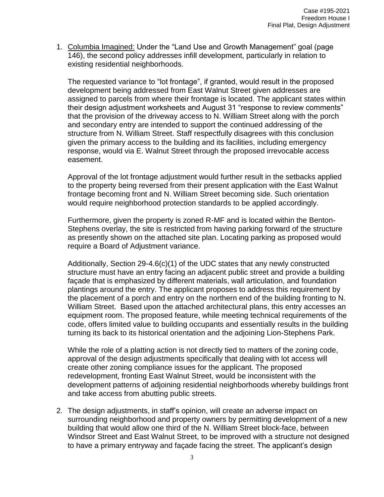1. Columbia Imagined: Under the "Land Use and Growth Management" goal (page 146), the second policy addresses infill development, particularly in relation to existing residential neighborhoods.

The requested variance to "lot frontage", if granted, would result in the proposed development being addressed from East Walnut Street given addresses are assigned to parcels from where their frontage is located. The applicant states within their design adjustment worksheets and August 31 "response to review comments" that the provision of the driveway access to N. William Street along with the porch and secondary entry are intended to support the continued addressing of the structure from N. William Street. Staff respectfully disagrees with this conclusion given the primary access to the building and its facilities, including emergency response, would via E. Walnut Street through the proposed irrevocable access easement.

Approval of the lot frontage adjustment would further result in the setbacks applied to the property being reversed from their present application with the East Walnut frontage becoming front and N. William Street becoming side. Such orientation would require neighborhood protection standards to be applied accordingly.

Furthermore, given the property is zoned R-MF and is located within the Benton-Stephens overlay, the site is restricted from having parking forward of the structure as presently shown on the attached site plan. Locating parking as proposed would require a Board of Adjustment variance.

Additionally, Section 29-4.6(c)(1) of the UDC states that any newly constructed structure must have an entry facing an adjacent public street and provide a building façade that is emphasized by different materials, wall articulation, and foundation plantings around the entry. The applicant proposes to address this requirement by the placement of a porch and entry on the northern end of the building fronting to N. William Street. Based upon the attached architectural plans, this entry accesses an equipment room. The proposed feature, while meeting technical requirements of the code, offers limited value to building occupants and essentially results in the building turning its back to its historical orientation and the adjoining Lion-Stephens Park.

While the role of a platting action is not directly tied to matters of the zoning code, approval of the design adjustments specifically that dealing with lot access will create other zoning compliance issues for the applicant. The proposed redevelopment, fronting East Walnut Street, would be inconsistent with the development patterns of adjoining residential neighborhoods whereby buildings front and take access from abutting public streets.

2. The design adjustments, in staff's opinion, will create an adverse impact on surrounding neighborhood and property owners by permitting development of a new building that would allow one third of the N. William Street block-face, between Windsor Street and East Walnut Street, to be improved with a structure not designed to have a primary entryway and façade facing the street. The applicant's design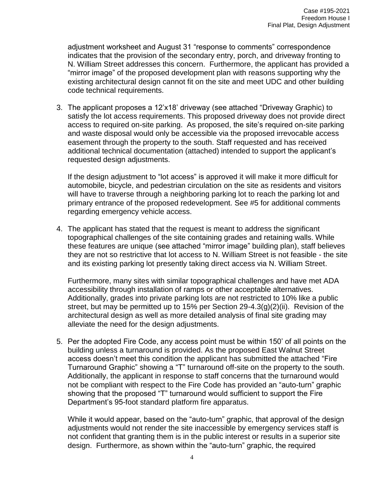adjustment worksheet and August 31 "response to comments" correspondence indicates that the provision of the secondary entry, porch, and driveway fronting to N. William Street addresses this concern. Furthermore, the applicant has provided a "mirror image" of the proposed development plan with reasons supporting why the existing architectural design cannot fit on the site and meet UDC and other building code technical requirements.

3. The applicant proposes a 12'x18' driveway (see attached "Driveway Graphic) to satisfy the lot access requirements. This proposed driveway does not provide direct access to required on-site parking. As proposed, the site's required on-site parking and waste disposal would only be accessible via the proposed irrevocable access easement through the property to the south. Staff requested and has received additional technical documentation (attached) intended to support the applicant's requested design adjustments.

If the design adjustment to "lot access" is approved it will make it more difficult for automobile, bicycle, and pedestrian circulation on the site as residents and visitors will have to traverse through a neighboring parking lot to reach the parking lot and primary entrance of the proposed redevelopment. See #5 for additional comments regarding emergency vehicle access.

4. The applicant has stated that the request is meant to address the significant topographical challenges of the site containing grades and retaining walls. While these features are unique (see attached "mirror image" building plan), staff believes they are not so restrictive that lot access to N. William Street is not feasible - the site and its existing parking lot presently taking direct access via N. William Street.

Furthermore, many sites with similar topographical challenges and have met ADA accessibility through installation of ramps or other acceptable alternatives. Additionally, grades into private parking lots are not restricted to 10% like a public street, but may be permitted up to 15% per Section 29-4.3(g)(2)(ii). Revision of the architectural design as well as more detailed analysis of final site grading may alleviate the need for the design adjustments.

5. Per the adopted Fire Code, any access point must be within 150' of all points on the building unless a turnaround is provided. As the proposed East Walnut Street access doesn't meet this condition the applicant has submitted the attached "Fire Turnaround Graphic" showing a "T" turnaround off-site on the property to the south. Additionally, the applicant in response to staff concerns that the turnaround would not be compliant with respect to the Fire Code has provided an "auto-turn" graphic showing that the proposed "T" turnaround would sufficient to support the Fire Department's 95-foot standard platform fire apparatus.

While it would appear, based on the "auto-turn" graphic, that approval of the design adjustments would not render the site inaccessible by emergency services staff is not confident that granting them is in the public interest or results in a superior site design. Furthermore, as shown within the "auto-turn" graphic, the required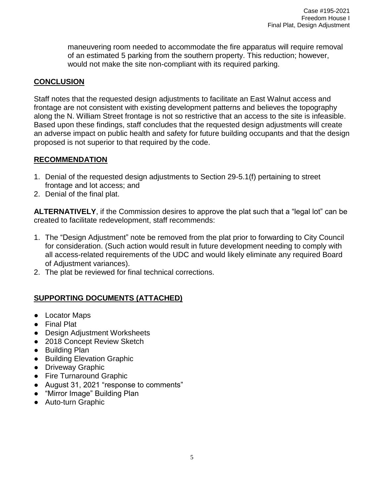maneuvering room needed to accommodate the fire apparatus will require removal of an estimated 5 parking from the southern property. This reduction; however, would not make the site non-compliant with its required parking.

### **CONCLUSION**

Staff notes that the requested design adjustments to facilitate an East Walnut access and frontage are not consistent with existing development patterns and believes the topography along the N. William Street frontage is not so restrictive that an access to the site is infeasible. Based upon these findings, staff concludes that the requested design adjustments will create an adverse impact on public health and safety for future building occupants and that the design proposed is not superior to that required by the code.

### **RECOMMENDATION**

- 1. Denial of the requested design adjustments to Section 29-5.1(f) pertaining to street frontage and lot access; and
- 2. Denial of the final plat.

**ALTERNATIVELY**, if the Commission desires to approve the plat such that a "legal lot" can be created to facilitate redevelopment, staff recommends:

- 1. The "Design Adjustment" note be removed from the plat prior to forwarding to City Council for consideration. (Such action would result in future development needing to comply with all access-related requirements of the UDC and would likely eliminate any required Board of Adjustment variances).
- 2. The plat be reviewed for final technical corrections.

# **SUPPORTING DOCUMENTS (ATTACHED)**

- Locator Maps
- Final Plat
- Design Adjustment Worksheets
- 2018 Concept Review Sketch
- Building Plan
- Building Elevation Graphic
- Driveway Graphic
- Fire Turnaround Graphic
- August 31, 2021 "response to comments"
- "Mirror Image" Building Plan
- Auto-turn Graphic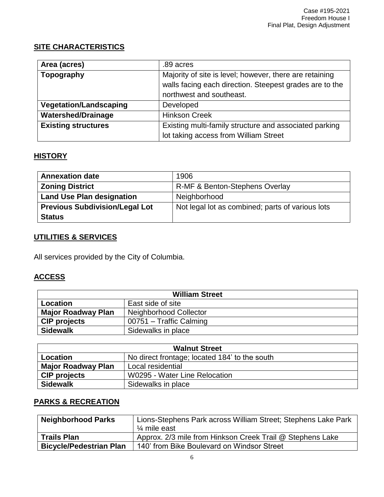# **SITE CHARACTERISTICS**

| Area (acres)                  | .89 acres                                               |
|-------------------------------|---------------------------------------------------------|
| Topography                    | Majority of site is level; however, there are retaining |
|                               | walls facing each direction. Steepest grades are to the |
|                               | northwest and southeast.                                |
| <b>Vegetation/Landscaping</b> | Developed                                               |
| <b>Watershed/Drainage</b>     | <b>Hinkson Creek</b>                                    |
| <b>Existing structures</b>    | Existing multi-family structure and associated parking  |
|                               | lot taking access from William Street                   |

### **HISTORY**

| <b>Annexation date</b>                | 1906                                             |
|---------------------------------------|--------------------------------------------------|
| <b>Zoning District</b>                | R-MF & Benton-Stephens Overlay                   |
| <b>Land Use Plan designation</b>      | Neighborhood                                     |
| <b>Previous Subdivision/Legal Lot</b> | Not legal lot as combined; parts of various lots |
| <b>Status</b>                         |                                                  |

# **UTILITIES & SERVICES**

All services provided by the City of Columbia.

# **ACCESS**

| <b>William Street</b>     |                         |  |
|---------------------------|-------------------------|--|
| Location                  | East side of site       |  |
| <b>Major Roadway Plan</b> | Neighborhood Collector  |  |
| <b>CIP</b> projects       | 00751 - Traffic Calming |  |
| <b>Sidewalk</b>           | Sidewalks in place      |  |

| <b>Walnut Street</b>      |                                               |  |  |
|---------------------------|-----------------------------------------------|--|--|
| Location                  | No direct frontage; located 184' to the south |  |  |
| <b>Major Roadway Plan</b> | Local residential                             |  |  |
| <b>CIP</b> projects       | W0295 - Water Line Relocation                 |  |  |
| <b>Sidewalk</b>           | Sidewalks in place                            |  |  |

# **PARKS & RECREATION**

| <b>Neighborhood Parks</b>      | Lions-Stephens Park across William Street; Stephens Lake Park |  |
|--------------------------------|---------------------------------------------------------------|--|
|                                | $\frac{1}{4}$ mile east                                       |  |
| <b>Trails Plan</b>             | Approx. 2/3 mile from Hinkson Creek Trail @ Stephens Lake     |  |
| <b>Bicycle/Pedestrian Plan</b> | 140' from Bike Boulevard on Windsor Street                    |  |